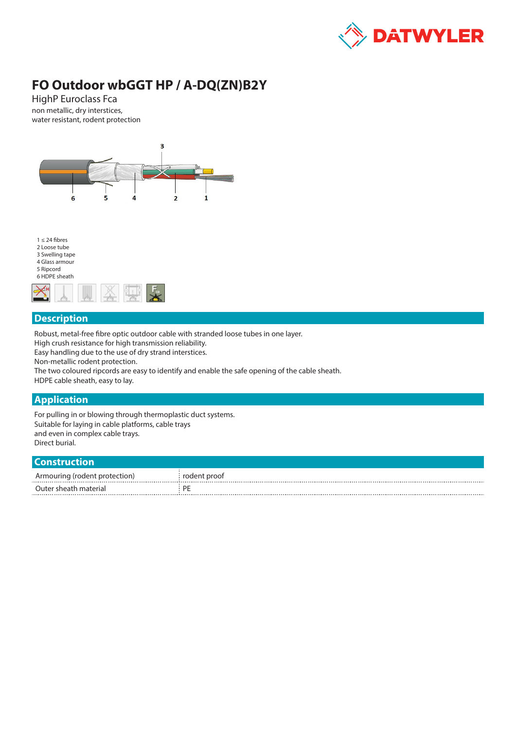

# **FO Outdoor wbGGT HP / A-DQ(ZN)B2Y**

HighP Euroclass Fca non metallic, dry interstices, water resistant, rodent protection





### **Description**

Robust, metal-free fibre optic outdoor cable with stranded loose tubes in one layer.

High crush resistance for high transmission reliability.

Easy handling due to the use of dry strand interstices.

Non-metallic rodent protection.

The two coloured ripcords are easy to identify and enable the safe opening of the cable sheath.

HDPE cable sheath, easy to lay.

### **Application**

For pulling in or blowing through thermoplastic duct systems. Suitable for laying in cable platforms, cable trays and even in complex cable trays. Direct burial.

#### **Construction**

| .                             |              |
|-------------------------------|--------------|
| Armouring (rodent protection) | rodent proof |
| Outer sheath material         |              |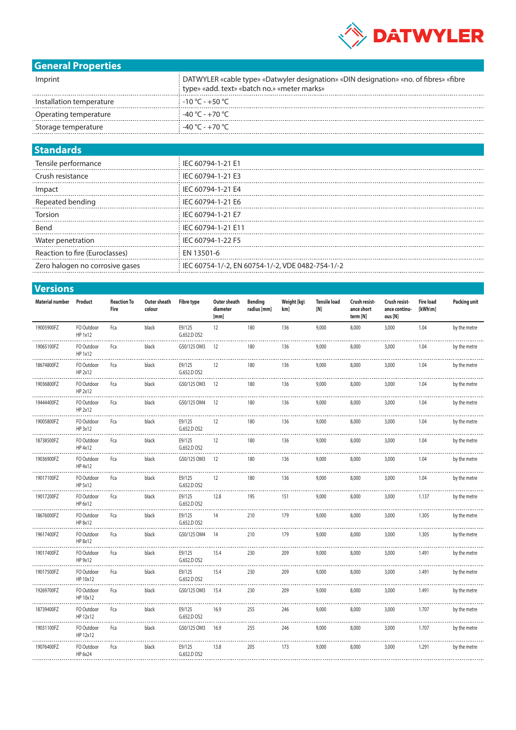

# **General Properties**

| Imprint                  | DATWYLER «cable type» «Datwyler designation» «DIN designation» «no. of fibres» «fibre<br>type» «add. text» «batch no.» «meter marks» |
|--------------------------|--------------------------------------------------------------------------------------------------------------------------------------|
| Installation temperature | $-10\,^{\circ}\text{C}$ - +50 $^{\circ}\text{C}$                                                                                     |
| Operating temperature    | -40 °C - +70 °C                                                                                                                      |
| Storage temperature      | -40 °C - +70 °C                                                                                                                      |

## **Standards**

| IEC 60794-1-21 E1                                  |
|----------------------------------------------------|
| IEC 60794-1-21 E3                                  |
| i IEC 60794-1-21 E4                                |
| IEC 60794-1-21 E6                                  |
| IEC 60794-1-21 E7                                  |
| IEC 60794-1-21 E11                                 |
| IEC 60794-1-22 F5                                  |
| EN 13501-6                                         |
| i IEC 60754-1/-2, EN 60754-1/-2, VDE 0482-754-1/-2 |
|                                                    |

| <b>Versions</b>        |                        |                            |                        |                       |                                  |                               |                    |                            |                                         |                                           |                               |                     |
|------------------------|------------------------|----------------------------|------------------------|-----------------------|----------------------------------|-------------------------------|--------------------|----------------------------|-----------------------------------------|-------------------------------------------|-------------------------------|---------------------|
| <b>Material number</b> | Product                | <b>Reaction To</b><br>Fire | Outer sheath<br>colour | <b>Fibre type</b>     | Outer sheath<br>diameter<br>[mm] | <b>Bending</b><br>radius [mm] | Weight [kg\<br>km] | <b>Tensile load</b><br>[N] | Crush resist-<br>ance short<br>term [N] | Crush resist-<br>ance continu-<br>ous [N] | <b>Fire load</b><br>$[kWh\m]$ | <b>Packing unit</b> |
| 19005900FZ             | FO Outdoor<br>HP 1x12  | Fca                        | black                  | E9/125<br>G.652.D OS2 | 12                               | 180                           | 136                | 9,000                      | 8,000                                   | 3,000                                     | 1.04                          | by the metre        |
| 19065100FZ             | FO Outdoor<br>HP 1x12  | Fca                        | black                  | G50/125 OM3           | 12                               | 180                           | 136                | 9,000                      | 8,000                                   | 3,000                                     | 1.04                          | by the metre        |
| 18674800FZ             | FO Outdoor<br>HP 2x12  | Fca                        | black                  | E9/125<br>G.652.D OS2 | 12                               | 180                           | 136                | 9,000                      | 8,000                                   | 3,000                                     | 1.04                          | by the metre        |
| 19036800FZ             | FO Outdoor<br>HP 2x12  | Fca                        | black                  | G50/125 OM3           | 12                               | 180                           | 136                | 9,000                      | 8,000                                   | 3,000                                     | 1.04                          | by the metre        |
| 19444400FZ             | FO Outdoor<br>HP 2x12  | Fca                        | black                  | G50/125 OM4           | 12                               | 180                           | 136                | 9,000                      | 8,000                                   | 3,000                                     | 1.04                          | by the metre        |
| 19005800FZ             | FO Outdoor<br>HP 3x12  | Fca                        | black                  | E9/125<br>G.652.D OS2 | 12                               | 180                           | 136                | 9,000                      | 8,000                                   | 3,000                                     | 1.04                          | by the metre        |
| 18738500FZ             | FO Outdoor<br>HP 4x12  | Fca                        | black                  | E9/125<br>G.652.D OS2 | 12                               | 180                           | 136                | 9,000                      | 8,000                                   | 3,000                                     | 1.04                          | by the metre        |
| 19036900FZ             | FO Outdoor<br>HP 4x12  | Fca                        | black                  | G50/125 OM3           | 12                               | 180                           | 136                | 9,000                      | 8,000                                   | 3,000                                     | 1.04                          | by the metre        |
| 19017100FZ             | FO Outdoor<br>HP 5x12  | Fca                        | black                  | E9/125<br>G.652.D OS2 | 12                               | 180                           | 136                | 9,000                      | 8,000                                   | 3,000                                     | 1.04                          | by the metre        |
| 19017200FZ             | FO Outdoor<br>HP 6x12  | Fca                        | black                  | E9/125<br>G.652.D OS2 | 12.8                             | 195                           | 151                | 9,000                      | 8,000                                   | 3,000                                     | 1.137                         | by the metre        |
| 18676000FZ             | FO Outdoor<br>HP 8x12  | Fca                        | black                  | E9/125<br>G.652.D OS2 | 14                               | 210                           | 179                | 9,000                      | 8,000                                   | 3,000                                     | 1.305                         | by the metre        |
| 19617400FZ             | FO Outdoor<br>HP 8x12  | Fca                        | black                  | G50/125 OM4           | 14                               | 210                           | 179                | 9,000                      | 8,000                                   | 3,000                                     | 1.305                         | by the metre        |
| 19017400FZ             | FO Outdoor<br>HP 9x12  | Fca                        | black                  | E9/125<br>G.652.D OS2 | 15.4                             | 230                           | 209                | 9,000                      | 8,000                                   | 3,000                                     | 1.491                         | by the metre        |
| 19017500FZ             | FO Outdoor<br>HP 10x12 | Fca                        | black                  | E9/125<br>G.652.D OS2 | 15.4                             | 230                           | 209                | 9,000                      | 8,000                                   | 3,000                                     | 1.491                         | by the metre        |
| 19269700FZ             | FO Outdoor<br>HP 10x12 | Fca                        | black                  | G50/125 OM3           | 15.4                             | 230                           | 209                | 9,000                      | 8,000                                   | 3,000                                     | 1.491                         | by the metre        |
| 18739400FZ             | FO Outdoor<br>HP 12x12 | Fca                        | black                  | E9/125<br>G.652.D OS2 | 16.9                             | 255                           | 246                | 9,000                      | 8,000                                   | 3,000                                     | 1.707                         | by the metre        |
| 19031100FZ             | FO Outdoor<br>HP 12x12 | Fca                        | black                  | G50/125 OM3           | 16.9                             | 255                           | 246                | 9,000                      | 8,000                                   | 3,000                                     | 1.707                         | by the metre        |
| 19076400FZ             | FO Outdoor<br>HP 6x24  | Fca                        | black                  | E9/125<br>G.652.D OS2 | 13.8                             | 205                           | 173                | 9,000                      | 8,000                                   | 3,000                                     | 1.291                         | by the metre        |